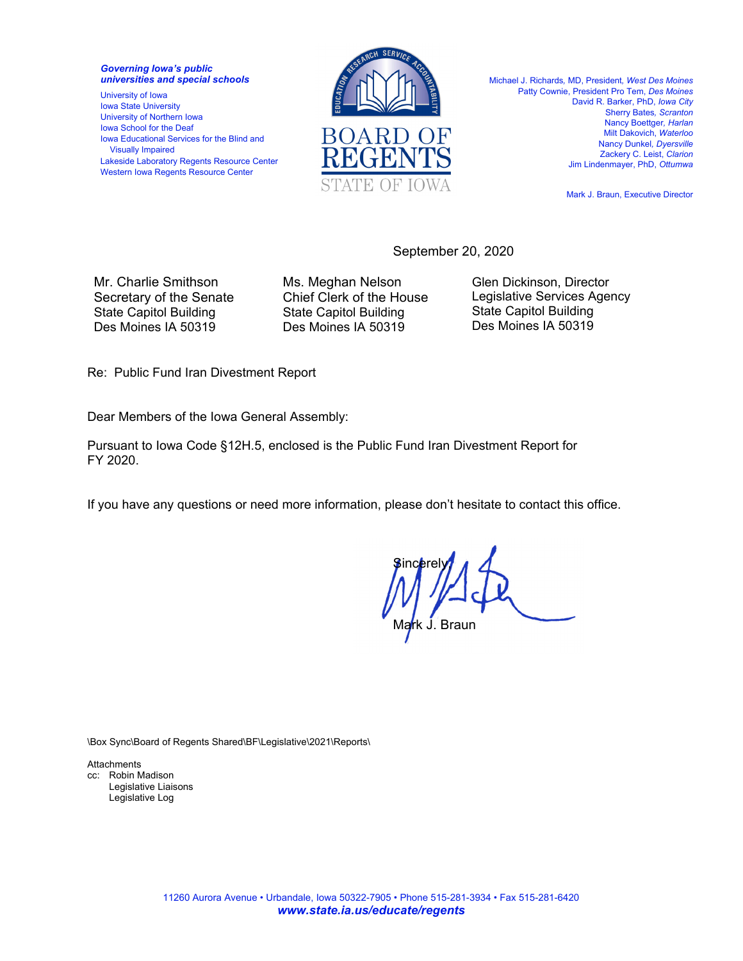*Governing Iowa's public universities and special schools* 

University of Iowa Iowa State University University of Northern Iowa Iowa School for the Deaf Iowa Educational Services for the Blind and Visually Impaired Lakeside Laboratory Regents Resource Center Western Iowa Regents Resource Center



Michael J. Richards*,* MD, President*, West Des Moines*  Patty Cownie, President Pro Tem, *Des Moines*  David R. Barker, PhD, *Iowa City* Sherry Bates*, Scranton*  Nancy Boettger*, Harlan*  Milt Dakovich, *Waterloo*  Nancy Dunkel*, Dyersville*  Zackery C. Leist, *Clarion*  Jim Lindenmayer, PhD, *Ottumwa* 

Mark J. Braun, Executive Director

September 20, 2020

Mr. Charlie Smithson Secretary of the Senate State Capitol Building Des Moines IA 50319

Ms. Meghan Nelson Chief Clerk of the House State Capitol Building Des Moines IA 50319

Glen Dickinson, Director Legislative Services Agency State Capitol Building Des Moines IA 50319

Re: Public Fund Iran Divestment Report

Dear Members of the Iowa General Assembly:

Pursuant to Iowa Code §12H.5, enclosed is the Public Fund Iran Divestment Report for FY 2020.

If you have any questions or need more information, please don't hesitate to contact this office.

**Sincerely** Ma<mark>r</mark>k J. Braun

\Box Sync\Board of Regents Shared\BF\Legislative\2021\Reports\

**Attachments** cc: Robin Madison Legislative Liaisons Legislative Log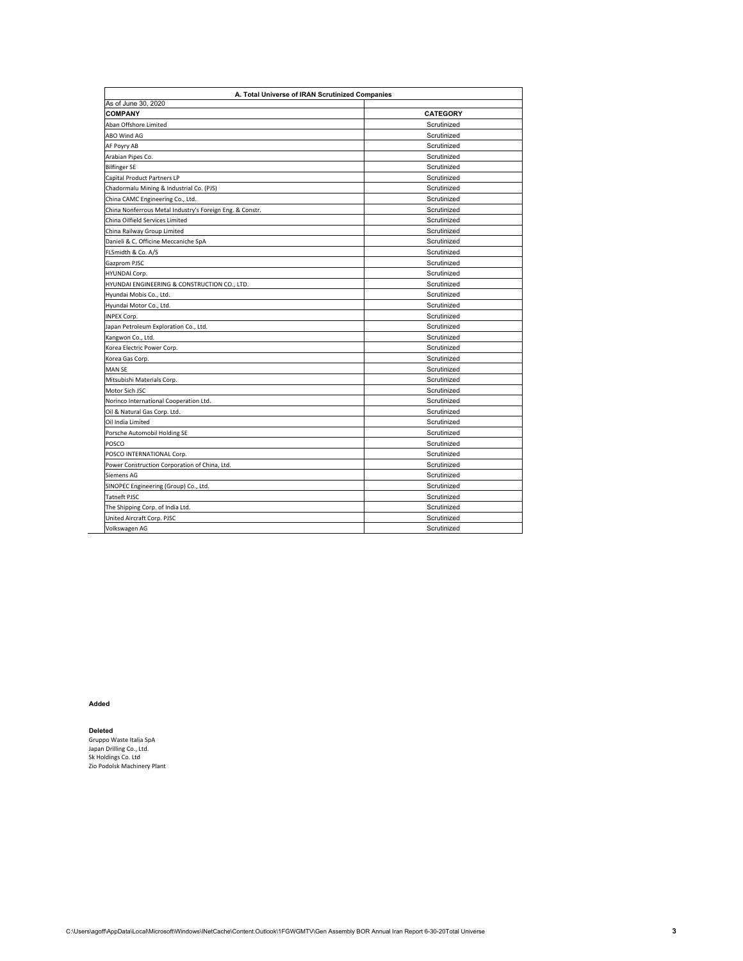| A. Total Universe of IRAN Scrutinized Companies                        |                 |
|------------------------------------------------------------------------|-----------------|
| As of June 30, 2020<br><b>COMPANY</b>                                  | <b>CATEGORY</b> |
| Aban Offshore Limited                                                  | Scrutinized     |
| ABO Wind AG                                                            | Scrutinized     |
| AF Poyry AB                                                            | Scrutinized     |
| Arabian Pipes Co.                                                      | Scrutinized     |
| <b>Bilfinger SE</b>                                                    | Scrutinized     |
| Capital Product Partners LP                                            | Scrutinized     |
| Chadormalu Mining & Industrial Co. (PJS)                               | Scrutinized     |
| China CAMC Engineering Co., Ltd.                                       | Scrutinized     |
| China Nonferrous Metal Industry's Foreign Eng. & Constr.               | Scrutinized     |
| China Oilfield Services Limited                                        | Scrutinized     |
| China Railway Group Limited                                            | Scrutinized     |
| Danieli & C. Officine Meccaniche SpA                                   | Scrutinized     |
| FLSmidth & Co. A/S                                                     | Scrutinized     |
| Gazprom PJSC                                                           | Scrutinized     |
| HYUNDAI Corp.                                                          | Scrutinized     |
| HYUNDAI ENGINEERING & CONSTRUCTION CO., LTD.                           | Scrutinized     |
| Hyundai Mobis Co., Ltd.                                                | Scrutinized     |
| Hyundai Motor Co., Ltd.                                                | Scrutinized     |
| INPEX Corp.                                                            | Scrutinized     |
| Japan Petroleum Exploration Co., Ltd.                                  | Scrutinized     |
| Kangwon Co., Ltd.                                                      | Scrutinized     |
| Korea Electric Power Corp.                                             | Scrutinized     |
| Korea Gas Corp.                                                        | Scrutinized     |
| <b>MAN SE</b>                                                          | Scrutinized     |
| Mitsubishi Materials Corp.                                             | Scrutinized     |
| Motor Sich JSC                                                         | Scrutinized     |
|                                                                        | Scrutinized     |
| Norinco International Cooperation Ltd.<br>Oil & Natural Gas Corp. Ltd. | Scrutinized     |
| Oil India Limited                                                      | Scrutinized     |
|                                                                        | Scrutinized     |
| Porsche Automobil Holding SE                                           | Scrutinized     |
| POSCO                                                                  |                 |
| POSCO INTERNATIONAL Corp.                                              | Scrutinized     |
| Power Construction Corporation of China, Ltd.                          | Scrutinized     |
| Siemens AG                                                             | Scrutinized     |
| SINOPEC Engineering (Group) Co., Ltd.                                  | Scrutinized     |
| <b>Tatneft PJSC</b>                                                    | Scrutinized     |
| The Shipping Corp. of India Ltd.                                       | Scrutinized     |
| United Aircraft Corp. PJSC                                             | Scrutinized     |
| Volkswagen AG                                                          | Scrutinized     |

**Added**

**Deleted**<br>Gruppo Waste Italia SpA<br>Japan Drilling Co., Ltd.<br>Sk Holdings Co. Ltd<br>Zio Podolsk Machinery Plant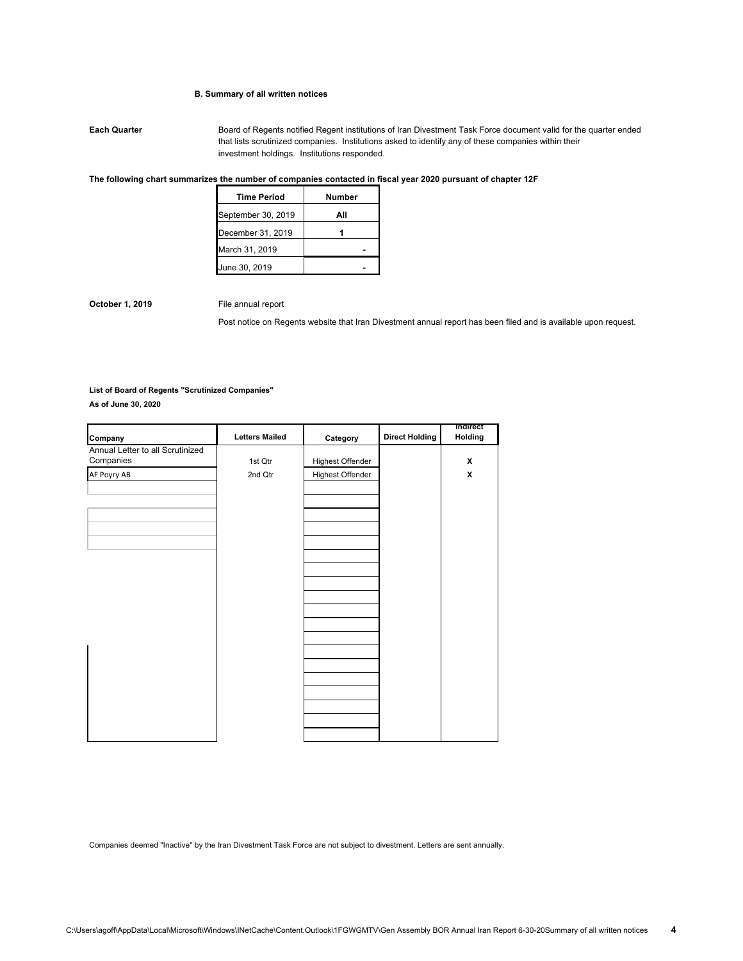## **B. Summary of all written notices**

**Each Quarter** Board of Regents notified Regent institutions of Iran Divestment Task Force document valid for the quarter ended that lists scrutinized companies. Institutions asked to identify any of these companies within their investment holdings. Institutions responded.

## **The following chart summarizes the number of companies contacted in fiscal year 2020 pursuant of chapter 12F**

| <b>Time Period</b> | Number |
|--------------------|--------|
| September 30, 2019 | ΑII    |
| December 31, 2019  |        |
| March 31, 2019     |        |
| June 30, 2019      |        |

**October 1, 2019** File annual report

Post notice on Regents website that Iran Divestment annual report has been filed and is available upon request.

### **List of Board of Regents "Scrutinized Companies"**

**As of June 30, 2020**

| Company                                       | <b>Letters Mailed</b> | Category         | <b>Direct Holding</b> | Indirect<br>Holding |
|-----------------------------------------------|-----------------------|------------------|-----------------------|---------------------|
| Annual Letter to all Scrutinized<br>Companies | 1st Qtr               | Highest Offender |                       | X                   |
|                                               |                       |                  |                       |                     |
| AF Poyry AB                                   | 2nd Qtr               | Highest Offender |                       | X                   |
|                                               |                       |                  |                       |                     |
|                                               |                       |                  |                       |                     |
|                                               |                       |                  |                       |                     |
|                                               |                       |                  |                       |                     |
|                                               |                       |                  |                       |                     |
|                                               |                       |                  |                       |                     |
|                                               |                       |                  |                       |                     |
|                                               |                       |                  |                       |                     |
|                                               |                       |                  |                       |                     |
|                                               |                       |                  |                       |                     |
|                                               |                       |                  |                       |                     |
|                                               |                       |                  |                       |                     |
|                                               |                       |                  |                       |                     |
|                                               |                       |                  |                       |                     |
|                                               |                       |                  |                       |                     |
|                                               |                       |                  |                       |                     |
|                                               |                       |                  |                       |                     |
|                                               |                       |                  |                       |                     |
|                                               |                       |                  |                       |                     |
|                                               |                       |                  |                       |                     |
|                                               |                       |                  |                       |                     |

Companies deemed "Inactive" by the Iran Divestment Task Force are not subject to divestment. Letters are sent annually.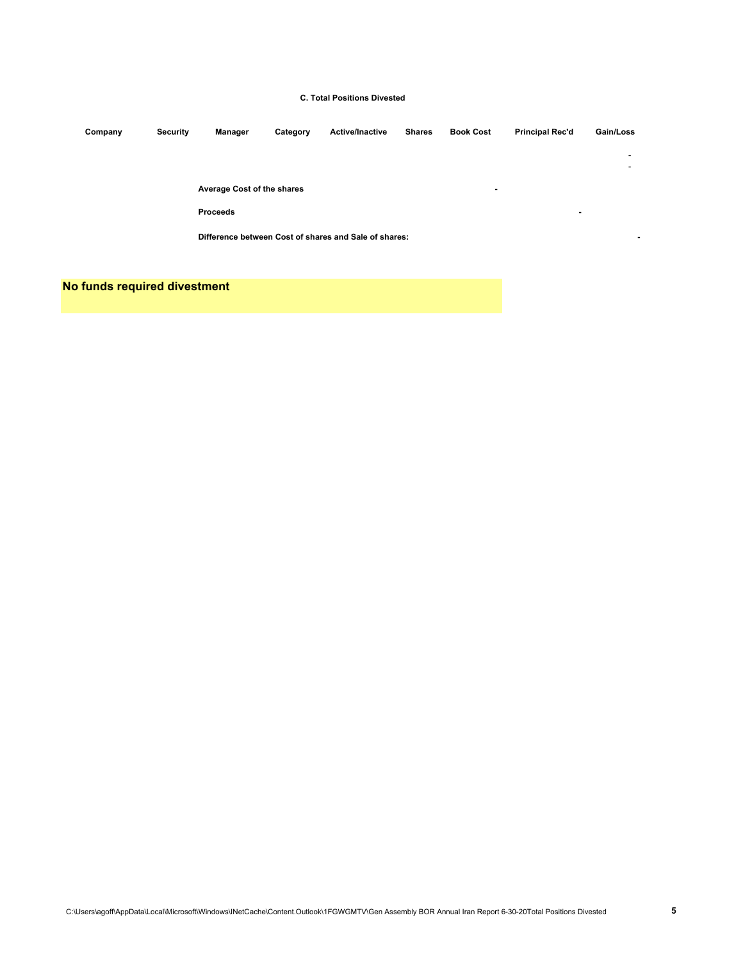# **C. Total Positions Divested**

| Company | <b>Security</b> | Manager                    | Category | <b>Active/Inactive</b>                                | <b>Shares</b> | <b>Book Cost</b> | <b>Principal Rec'd</b> | Gain/Loss                |
|---------|-----------------|----------------------------|----------|-------------------------------------------------------|---------------|------------------|------------------------|--------------------------|
|         |                 |                            |          |                                                       |               |                  |                        | $\overline{\phantom{a}}$ |
|         |                 |                            |          |                                                       |               |                  |                        | $\overline{\phantom{a}}$ |
|         |                 | Average Cost of the shares |          |                                                       |               | ۰                |                        |                          |
|         |                 | <b>Proceeds</b>            |          |                                                       |               |                  | ۰                      |                          |
|         |                 |                            |          | Difference between Cost of shares and Sale of shares: |               |                  |                        |                          |
|         |                 |                            |          |                                                       |               |                  |                        |                          |

**No funds required divestment**